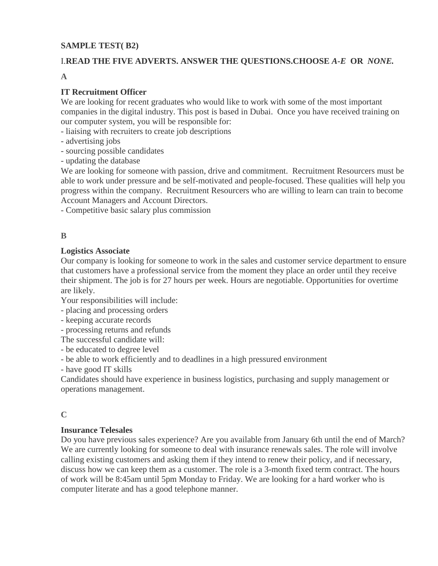# **SAMPLE TEST( B2)**

# I.**READ THE FIVE ADVERTS. ANSWER THE QUESTIONS.CHOOSE** *A-E* **OR** *NONE.*

### **A**

# **IT Recruitment Officer**

We are looking for recent graduates who would like to work with some of the most important companies in the digital industry. This post is based in Dubai. Once you have received training on our computer system, you will be responsible for:

- liaising with recruiters to create job descriptions

- advertising jobs
- sourcing possible candidates
- updating the database

We are looking for someone with passion, drive and commitment. Recruitment Resourcers must be able to work under pressure and be self-motivated and people-focused. These qualities will help you progress within the company. Recruitment Resourcers who are willing to learn can train to become Account Managers and Account Directors.

- Competitive basic salary plus commission

# **B**

### **Logistics Associate**

Our company is looking for someone to work in the sales and customer service department to ensure that customers have a professional service from the moment they place an order until they receive their shipment. The job is for 27 hours per week. Hours are negotiable. Opportunities for overtime are likely.

Your responsibilities will include:

- placing and processing orders
- keeping accurate records
- processing returns and refunds
- The successful candidate will:
- be educated to degree level
- be able to work efficiently and to deadlines in a high pressured environment

- have good IT skills

Candidates should have experience in business logistics, purchasing and supply management or operations management.

# **C**

# **Insurance Telesales**

Do you have previous sales experience? Are you available from January 6th until the end of March? We are currently looking for someone to deal with insurance renewals sales. The role will involve calling existing customers and asking them if they intend to renew their policy, and if necessary, discuss how we can keep them as a customer. The role is a 3-month fixed term contract. The hours of work will be 8:45am until 5pm Monday to Friday. We are looking for a hard worker who is computer literate and has a good telephone manner.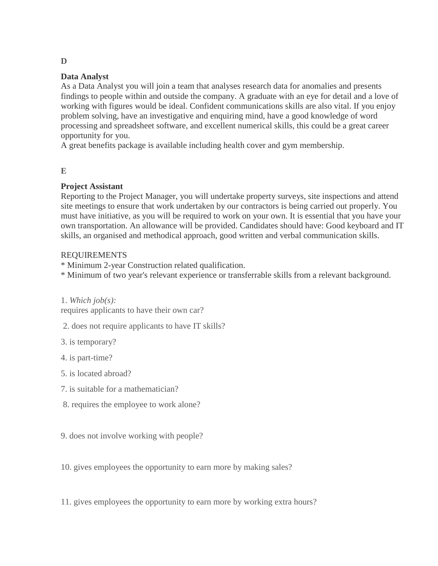# **Data Analyst**

As a Data Analyst you will join a team that analyses research data for anomalies and presents findings to people within and outside the company. A graduate with an eye for detail and a love of working with figures would be ideal. Confident communications skills are also vital. If you enjoy problem solving, have an investigative and enquiring mind, have a good knowledge of word processing and spreadsheet software, and excellent numerical skills, this could be a great career opportunity for you.

A great benefits package is available including health cover and gym membership.

### **E**

# **Project Assistant**

Reporting to the Project Manager, you will undertake property surveys, site inspections and attend site meetings to ensure that work undertaken by our contractors is being carried out properly. You must have initiative, as you will be required to work on your own. It is essential that you have your own transportation. An allowance will be provided. Candidates should have: Good keyboard and IT skills, an organised and methodical approach, good written and verbal communication skills.

### REQUIREMENTS

\* Minimum 2-year Construction related qualification.

\* Minimum of two year's relevant experience or transferrable skills from a relevant background.

1. *Which job(s):*

requires applicants to have their own car?

- 2. does not require applicants to have IT skills?
- 3. is temporary?
- 4. is part-time?
- 5. is located abroad?
- 7. is suitable for a mathematician?
- 8. requires the employee to work alone?

9. does not involve working with people?

10. gives employees the opportunity to earn more by making sales?

11. gives employees the opportunity to earn more by working extra hours?

### **D**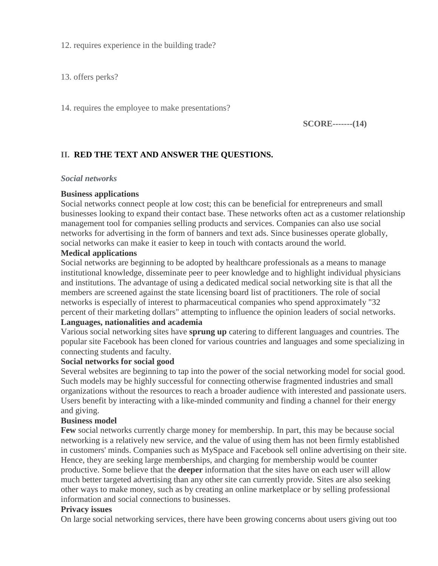12. requires experience in the building trade?

13. offers perks?

14. requires the employee to make presentations?

 **SCORE-------(14)**

# **II. RED THE TEXT AND ANSWER THE QUESTIONS.**

### *Social networks*

### **Business applications**

Social networks connect people at low cost; this can be beneficial for entrepreneurs and small businesses looking to expand their contact base. These networks often act as a customer relationship management tool for companies selling products and services. Companies can also use social networks for advertising in the form of banners and text ads. Since businesses operate globally, social networks can make it easier to keep in touch with contacts around the world.

### **Medical applications**

Social networks are beginning to be adopted by healthcare professionals as a means to manage institutional knowledge, disseminate peer to peer knowledge and to highlight individual physicians and institutions. The advantage of using a dedicated medical social networking site is that all the members are screened against the state licensing board list of practitioners. The role of social networks is especially of interest to pharmaceutical companies who spend approximately "32 percent of their marketing dollars" attempting to influence the opinion leaders of social networks.

# **Languages, nationalities and academia**

Various social networking sites have **sprung up** catering to different languages and countries. The popular site Facebook has been cloned for various countries and languages and some specializing in connecting students and faculty.

### **Social networks for social good**

Several websites are beginning to tap into the power of the social networking model for social good. Such models may be highly successful for connecting otherwise fragmented industries and small organizations without the resources to reach a broader audience with interested and passionate users. Users benefit by interacting with a like-minded community and finding a channel for their energy and giving.

# **Business model**

**Few** social networks currently charge money for membership. In part, this may be because social networking is a relatively new service, and the value of using them has not been firmly established in customers' minds. Companies such as MySpace and Facebook sell online advertising on their site. Hence, they are seeking large memberships, and charging for membership would be counter productive. Some believe that the **deeper** information that the sites have on each user will allow much better targeted advertising than any other site can currently provide. Sites are also seeking other ways to make money, such as by creating an online marketplace or by selling professional information and social connections to businesses.

### **Privacy issues**

On large social networking services, there have been growing concerns about users giving out too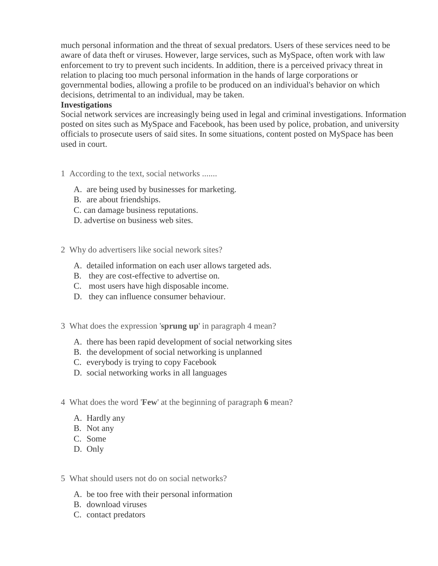much personal information and the threat of sexual predators. Users of these services need to be aware of data theft or viruses. However, large services, such as MySpace, often work with law enforcement to try to prevent such incidents. In addition, there is a perceived privacy threat in relation to placing too much personal information in the hands of large corporations or governmental bodies, allowing a profile to be produced on an individual's behavior on which decisions, detrimental to an individual, may be taken.

### **Investigations**

Social network services are increasingly being used in legal and criminal investigations. Information posted on sites such as MySpace and Facebook, has been used by police, probation, and university officials to prosecute users of said sites. In some situations, content posted on MySpace has been used in court.

- 1 According to the text, social networks .......
	- A. are being used by businesses for marketing.
	- B. are about friendships.
	- C. can damage business reputations.
	- D. advertise on business web sites.
- 2 Why do advertisers like social nework sites?
	- A. detailed information on each user allows targeted ads.
	- B. they are cost-effective to advertise on.
	- C. most users have high disposable income.
	- D. they can influence consumer behaviour.
- 3 What does the expression '**sprung up**' in paragraph 4 mean?
	- A. there has been rapid development of social networking sites
	- B. the development of social networking is unplanned
	- C. everybody is trying to copy Facebook
	- D. social networking works in all languages
- 4 What does the word '**Few**' at the beginning of paragraph **6** mean?
	- A. Hardly any
	- B. Not any
	- C. Some
	- D. Only
- 5 What should users not do on social networks?
	- A. be too free with their personal information
	- B. download viruses
	- C. contact predators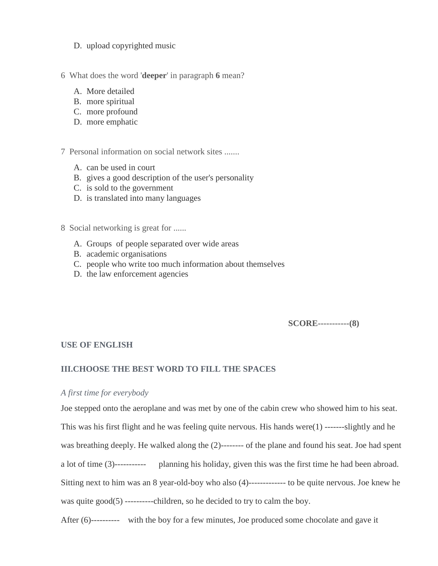- D. upload copyrighted music
- 6 What does the word '**deeper**' in paragraph **6** mean?
	- A. More detailed
	- B. more spiritual
	- C. more profound
	- D. more emphatic

7 Personal information on social network sites .......

- A. can be used in court
- B. gives a good description of the user's personality
- C. is sold to the government
- D. is translated into many languages
- 8 Social networking is great for ......
	- A. Groups of people separated over wide areas
	- B. academic organisations
	- C. people who write too much information about themselves
	- D. the law enforcement agencies

**SCORE-----------(8)**

#### **USE OF ENGLISH**

#### **III.CHOOSE THE BEST WORD TO FILL THE SPACES**

#### *A first time for everybody*

Joe stepped onto the aeroplane and was met by one of the cabin crew who showed him to his seat.

This was his first flight and he was feeling quite nervous. His hands were(1) -------slightly and he

was breathing deeply. He walked along the  $(2)$ -------- of the plane and found his seat. Joe had spent

a lot of time (3)----------- planning his holiday, given this was the first time he had been abroad.

Sitting next to him was an 8 year-old-boy who also (4)------------- to be quite nervous. Joe knew he

was quite good(5) ----------children, so he decided to try to calm the boy.

After (6)---------- with the boy for a few minutes, Joe produced some chocolate and gave it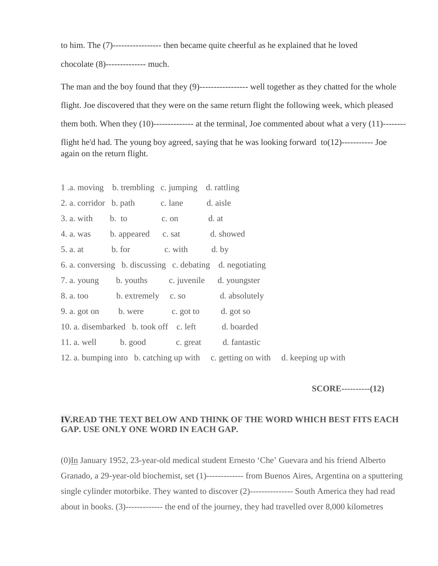to him. The (7)----------------- then became quite cheerful as he explained that he loved chocolate (8)-------------- much.

The man and the boy found that they (9)------------------- well together as they chatted for the whole flight. Joe discovered that they were on the same return flight the following week, which pleased them both. When they (10)-------------- at the terminal, Joe commented about what a very (11)------- flight he'd had. The young boy agreed, saying that he was looking forward to(12)----------- Joe again on the return flight.

|                                                   | 1.a. moving b. trembling c. jumping d. rattling |  |                                                                               |  |  |  |
|---------------------------------------------------|-------------------------------------------------|--|-------------------------------------------------------------------------------|--|--|--|
|                                                   | 2. a. corridor b. path c. lane d. aisle         |  |                                                                               |  |  |  |
|                                                   | 3. a. with b. to c. on d. at                    |  |                                                                               |  |  |  |
|                                                   | 4. a. was b. appeared c. sat d. showed          |  |                                                                               |  |  |  |
|                                                   | 5. a. at b. for c. with d. by                   |  |                                                                               |  |  |  |
|                                                   |                                                 |  | 6. a. conversing b. discussing c. debating d. negotiating                     |  |  |  |
|                                                   |                                                 |  | 7. a. young b. youths c. juvenile d. youngster                                |  |  |  |
|                                                   |                                                 |  | 8. a. too b. extremely c. so d. absolutely                                    |  |  |  |
|                                                   | 9. a. got on b. were c. got to d. got so        |  |                                                                               |  |  |  |
| 10. a. disembarked b. took off c. left d. boarded |                                                 |  |                                                                               |  |  |  |
|                                                   |                                                 |  | 11. a. well b. good c. great d. fantastic                                     |  |  |  |
|                                                   |                                                 |  | 12. a. bumping into b. catching up with c. getting on with d. keeping up with |  |  |  |

**SCORE----------(12)**

# **IV.READ THE TEXT BELOW AND THINK OF THE WORD WHICH BEST FITS EACH GAP. USE ONLY ONE WORD IN EACH GAP.**

(0)In January 1952, 23-year-old medical student Ernesto 'Che' Guevara and his friend Alberto Granado, a 29-year-old biochemist, set (1)------------- from Buenos Aires, Argentina on a sputtering single cylinder motorbike. They wanted to discover (2)--------------- South America they had read about in books. (3)------------- the end of the journey, they had travelled over 8,000 kilometres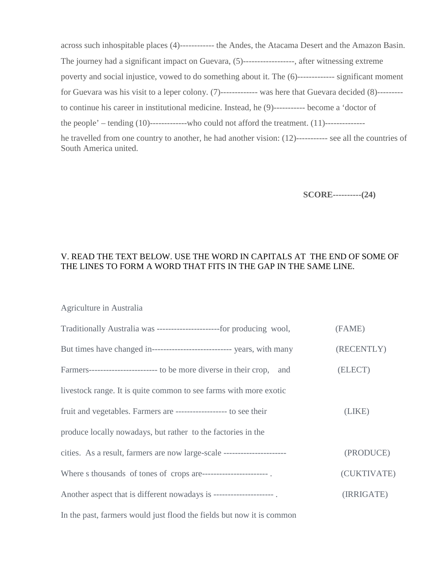across such inhospitable places (4)------------ the Andes, the Atacama Desert and the Amazon Basin. The journey had a significant impact on Guevara,  $(5)$ -----------------, after witnessing extreme poverty and social injustice, vowed to do something about it. The (6)------------- significant moment for Guevara was his visit to a leper colony. (7)------------- was here that Guevara decided (8)-------- to continue his career in institutional medicine. Instead, he (9)----------- become a 'doctor of the people' – tending (10)-------------who could not afford the treatment. (11)------------- he travelled from one country to another, he had another vision: (12)----------- see all the countries of South America united.

**SCORE----------(24)**

# V. READ THE TEXT BELOW. USE THE WORD IN CAPITALS AT THE END OF SOME OF THE LINES TO FORM A WORD THAT FITS IN THE GAP IN THE SAME LINE.

#### Agriculture in Australia

| Traditionally Australia was -------------------------for producing wool,          | (FAME)      |
|-----------------------------------------------------------------------------------|-------------|
|                                                                                   | (RECENTLY)  |
|                                                                                   | (ELECT)     |
| livestock range. It is quite common to see farms with more exotic                 |             |
| fruit and vegetables. Farmers are ------------------- to see their                | (LIKE)      |
| produce locally nowadays, but rather to the factories in the                      |             |
| cities. As a result, farmers are now large-scale -------------------------------- | (PRODUCE)   |
| Where s thousands of tones of crops are-------------------------                  | (CUKTIVATE) |
| Another aspect that is different nowadays is -----------------------              | (IRRIGATE)  |
| In the past, farmers would just flood the fields but now it is common             |             |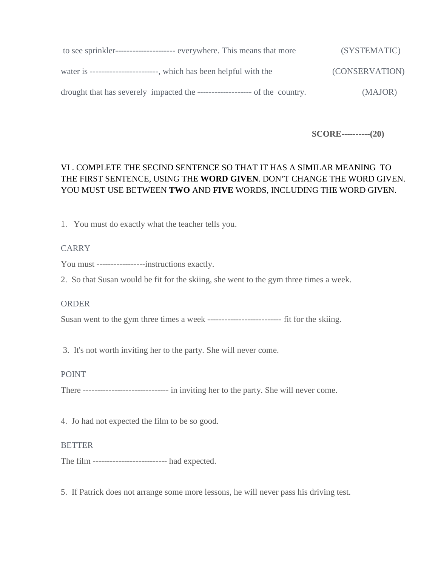| to see sprinkler------------------------ everywhere. This means that more    | (SYSTEMATIC)   |
|------------------------------------------------------------------------------|----------------|
| water is ------------------------, which has been helpful with the           | (CONSERVATION) |
| drought that has severely impacted the --------------------- of the country. | (MAJOR)        |

 **SCORE----------(20)**

# VI . COMPLETE THE SECIND SENTENCE SO THAT IT HAS A SIMILAR MEANING TO THE FIRST SENTENCE, USING THE **WORD GIVEN**. DON'T CHANGE THE WORD GIVEN. YOU MUST USE BETWEEN **TWO** AND **FIVE** WORDS, INCLUDING THE WORD GIVEN.

1. You must do exactly what the teacher tells you.

# CARRY

You must -----------------instructions exactly.

2. So that Susan would be fit for the skiing, she went to the gym three times a week.

### **ORDER**

Susan went to the gym three times a week -------------------------- fit for the skiing.

3. It's not worth inviting her to the party. She will never come.

# POINT

There ------------------------------ in inviting her to the party. She will never come.

4. Jo had not expected the film to be so good.

### BETTER

The film -------------------------- had expected.

5. If Patrick does not arrange some more lessons, he will never pass his driving test.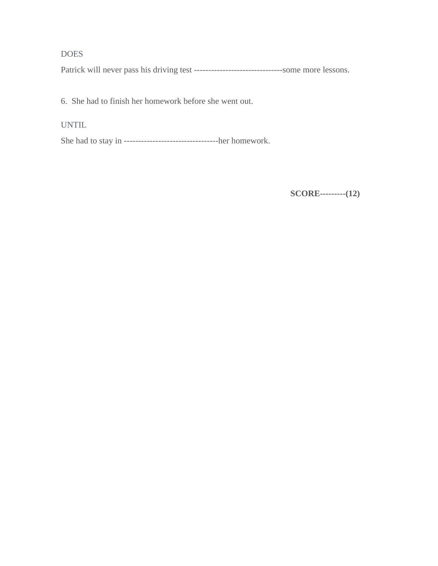# DOES

Patrick will never pass his driving test -------------------------------some more lessons.

6. She had to finish her homework before she went out.

UNTIL

She had to stay in ---------------------------------her homework.

 **SCORE---------(12)**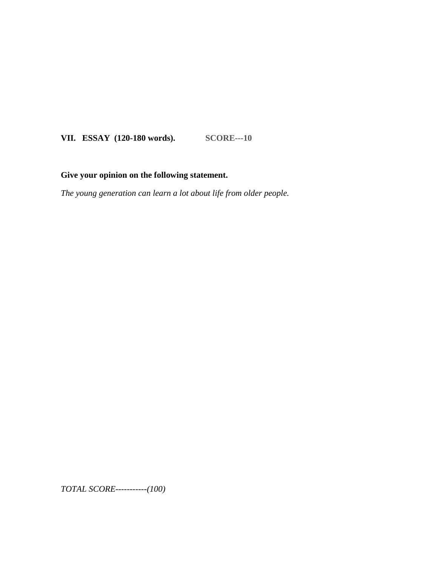# **VII. ESSAY (120-180 words). SCORE---10**

# **Give your opinion on the following statement.**

*The young generation can learn a lot about life from older people.* 

*TOTAL SCORE-----------(100)*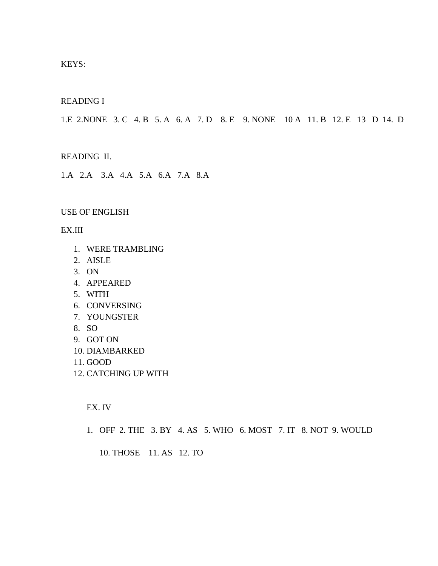KEYS:

#### READING I

1.E 2.NONE 3. C 4. B 5. A 6. A 7. D 8. E 9. NONE 10 A 11. B 12. E 13 D 14. D

#### READING II.

1.A 2.A 3.A 4.A 5.A 6.A 7.A 8.A

### USE OF ENGLISH

### EX.III

- 1. WERE TRAMBLING
- 2. AISLE
- 3. ON
- 4. APPEARED
- 5. WITH
- 6. CONVERSING
- 7. YOUNGSTER
- 8. SO
- 9. GOT ON
- 10. DIAMBARKED
- 11. GOOD
- 12. CATCHING UP WITH

#### EX. IV

- 1. OFF 2. THE 3. BY 4. AS 5. WHO 6. MOST 7. IT 8. NOT 9. WOULD
	- 10. THOSE 11. AS 12. TO